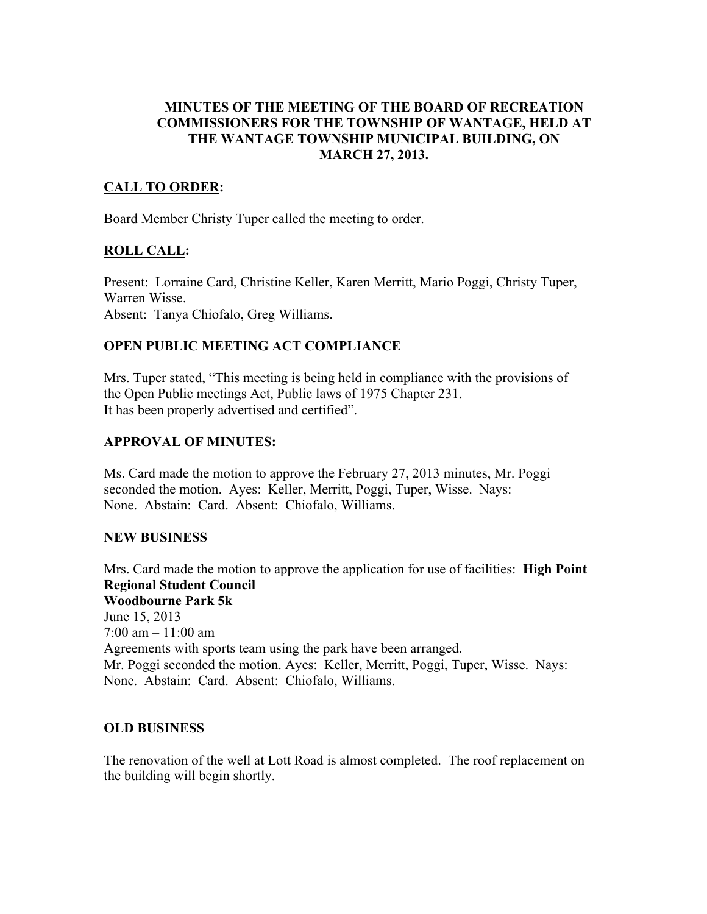### MINUTES OF THE MEETING OF THE BOARD OF RECREATION COMMISSIONERS FOR THE TOWNSHIP OF WANTAGE, HELD AT THE WANTAGE TOWNSHIP MUNICIPAL BUILDING, ON MARCH 27, 2013.

# CALL TO ORDER:

Board Member Christy Tuper called the meeting to order.

### ROLL CALL:

Present: Lorraine Card, Christine Keller, Karen Merritt, Mario Poggi, Christy Tuper, Warren Wisse. Absent: Tanya Chiofalo, Greg Williams.

# OPEN PUBLIC MEETING ACT COMPLIANCE

Mrs. Tuper stated, "This meeting is being held in compliance with the provisions of the Open Public meetings Act, Public laws of 1975 Chapter 231. It has been properly advertised and certified".

### APPROVAL OF MINUTES:

Ms. Card made the motion to approve the February 27, 2013 minutes, Mr. Poggi seconded the motion. Ayes: Keller, Merritt, Poggi, Tuper, Wisse. Nays: None. Abstain: Card. Absent: Chiofalo, Williams.

### NEW BUSINESS

Mrs. Card made the motion to approve the application for use of facilities: **High Point** Regional Student Council Woodbourne Park 5k June 15, 2013 7:00 am – 11:00 am Agreements with sports team using the park have been arranged. Mr. Poggi seconded the motion. Ayes: Keller, Merritt, Poggi, Tuper, Wisse. Nays: None. Abstain: Card. Absent: Chiofalo, Williams.

### OLD BUSINESS

The renovation of the well at Lott Road is almost completed. The roof replacement on the building will begin shortly.